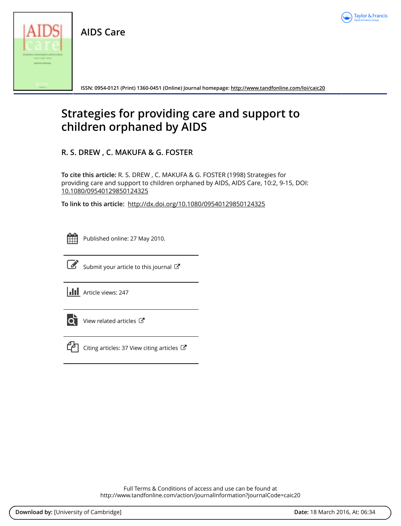

**AIDS Care**



**ISSN: 0954-0121 (Print) 1360-0451 (Online) Journal homepage:<http://www.tandfonline.com/loi/caic20>**

# **Strategies for providing care and support to children orphaned by AIDS**

**R. S. DREW , C. MAKUFA & G. FOSTER**

**To cite this article:** R. S. DREW , C. MAKUFA & G. FOSTER (1998) Strategies for providing care and support to children orphaned by AIDS, AIDS Care, 10:2, 9-15, DOI: [10.1080/09540129850124325](http://www.tandfonline.com/action/showCitFormats?doi=10.1080/09540129850124325)

**To link to this article:** <http://dx.doi.org/10.1080/09540129850124325>

| - | _ | <b>Service Service</b> |
|---|---|------------------------|
|   |   |                        |
|   |   |                        |
|   |   |                        |

Published online: 27 May 2010.



 $\overline{\mathscr{L}}$  [Submit your article to this journal](http://www.tandfonline.com/action/authorSubmission?journalCode=caic20&page=instructions)  $\mathbb{Z}$ 

**III** Article views: 247



 $\overrightarrow{Q}$  [View related articles](http://www.tandfonline.com/doi/mlt/10.1080/09540129850124325)  $\overrightarrow{C}$ 



[Citing articles: 37 View citing articles](http://www.tandfonline.com/doi/citedby/10.1080/09540129850124325#tabModule)  $\mathbb{Z}$ 

Full Terms & Conditions of access and use can be found at <http://www.tandfonline.com/action/journalInformation?journalCode=caic20>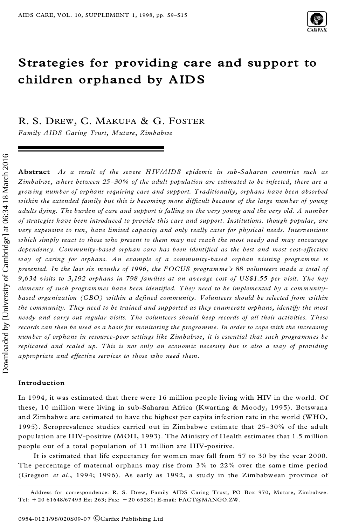

# **Strategies for providing care and support to children orphaned by AIDS**

R. S. DREW, C. MAKUFA & G. FOSTER

*Family AIDS Caring Trust, Mutare, Zimbabwe*

**Abstract** *As a result of the severe HIV/AIDS epidemic in sub-Saharan countries such as Zimbabwe, where between 25±30% of the adult population are estimated to be infected, there are a growing number of orphans requiring care and support. Traditionally, orphans have been absorbed within the extended family but this is becoming more dif®cult because of the large number of young* adults dying. The burden of care and support is falling on the very young and the very old. A number *of strategies have been introduced to provide this care and support. Institutions. though popular, are very expensive to run, have limited capacity and only really cater for physical needs. Interventions which simply react to those who present to them may not reach the most needy and may encourage dependency. Community-based orphan care has been identi®ed as the best and most cost-effective way of caring for orphans. An example of a community-based orphan visiting programme is presented. In the last six months of 1996, the FOCUS programme's 88 volunteers made a total of 9,634 visits to 3,192 orphans in 798 families at an average cost of US\$1.55 per visit. The key elements of such programmes have been identi®ed. They need to be implemented by a communitybased organization (CBO) within a de®ned community. Volunteers should be selected from within the community. They need to be trained and supported as they enumerate orphans, identify the most needy and carry out regular visits. The volunteers should keep records of all their activities. These* records can then be used as a basis for monitoring the programme. In order to cope with the increasing *number of orphans in resource-poor settings like Zimbabwe, it is essential that such programmes be replicated and scaled up. This is not only an economic necessity but is also a way of providing appropriate and effective services to those who need them.*

# **Introduction**

In 1994, it was estimated that there were 16 million people living with HIV in the world. Of these, 10 million were living in sub-Saharan Africa (Kwarting & Moody, 1995). Botswana and Zimbabwe are estimated to have the highest per capita infection rate in the world (WHO, 1995). Seroprevalence studies carried out in Zimbabwe estimate that  $25-30%$  of the adult population are HIV-positive (MOH, 1993). The Ministry of Health estimates that 1.5 million people out of a total population of 11 million are HIV-positive.

It is estimated that life expectancy for women may fall from 57 to 30 by the year 2000. The percentage of maternal orphans may rise from  $3\%$  to  $22\%$  over the same time period (Gregson *et al*., 1994; 1996). As early as 1992, a study in the Zimbabwean province of

Address for correspondence: R. S. Drew, Family AIDS Caring Trust, PO Box 970, Mutare, Zimbabwe. Tel: 1 20 61648/67493 Ext 263; Fax: 1 20 65281; E-mail: FACT@MANGO.ZW.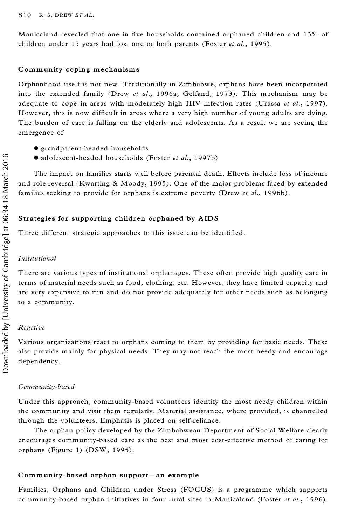Manicaland revealed that one in five households contained orphaned children and 13% of children under 15 years had lost one or both parents (Foster *et al*., 1995).

#### **Community coping mechanisms**

Orphanhood itself is not new. Traditionally in Zimbabwe, orphans have been incorporated into the extended family (Drew *et al*., 1996a; Gelfand, 1973). This mechanism may be adequate to cope in areas with moderately high HIV infection rates (Urassa *et al*., 1997). However, this is now difficult in areas where a very high number of young adults are dying. The burden of care is falling on the elderly and adolescents. As a result we are seeing the emergence of

- 
- · grandparent-headed households · adolescent-headed households (Foster *et al*., 1997b)

The impact on families starts well before parental death. Effects include loss of income and role reversal (Kwarting & Moody, 1995). One of the major problems faced by extended families seeking to provide for orphans is extreme poverty (Drew *et al*., 1996b).

#### **Strategies for supporting children orphaned by AIDS**

Three different strategic approaches to this issue can be identified.

# *Institutional*

There are various types of institutional orphanages. These often provide high quality care in terms of material needs such as food, clothing, etc. However, they have limited capacity and are very expensive to run and do not provide adequately for other needs such as belonging to a community.

#### *Reactive*

Various organizations react to orphans coming to them by providing for basic needs. These also provide mainly for physical needs. They may not reach the most needy and encourage dependency.

#### *Community-based*

Under this approach, community-based volunteers identify the most needy children within the community and visit them regularly. Material assistance, where provided, is channelled through the volunteers. Emphasis is placed on self-reliance.

The orphan policy developed by the Zimbabwean Department of Social Welfare clearly encourages community-based care as the best and most cost-effective method of caring for orphans (Figure 1) (DSW, 1995).

#### **Community-based orphan support-an example**

Families, Orphans and Children under Stress (FOCUS) is a programme which supports community-based orphan initiatives in four rural sites in Manicaland (Foster *et al*., 1996).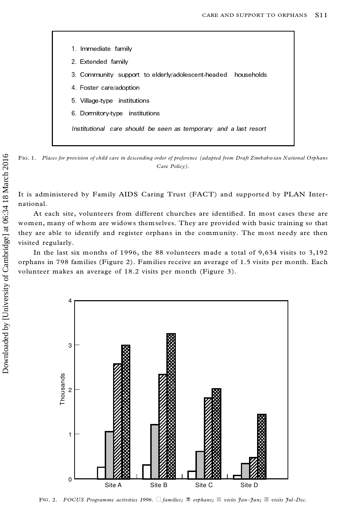

FIG. 1. Places for provision of child care in descending order of preference (adapted from Draft Zimbabwian National Orphans *Care Policy).*

It is administered by Family AIDS Caring Trust (FACT) and supported by PLAN Inter national.

At each site, volunteers from different churches are identified. In most cases these are women, many of whom are widows them selves. They are provided with basic training so that they are able to identify and register orphans in the community. The most needy are then visited regularly.

In the last six months of 1996, the 88 volunteers made a total of 9,634 visits to 3,192 orphans in 798 families (Figure 2). Families receive an average of 1.5 visits per month. Each volunteer makes an average of 18.2 visits per month (Figure 3).



FIG. 2. *FOCUS Programme activities 1996.* h *families;* 5 *orphans;* 7 *visits Jan±Jun;* 6 *visits Jul±Dec.*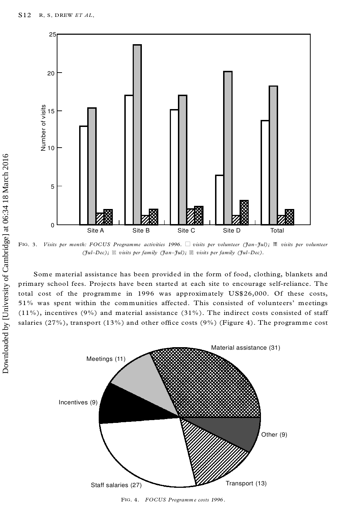

FIG. 3. *Visits per month: FOCUS Programme activities 1996.* h *visits per volunteer (Jan±Jul);* 5 *visits per volunteer (Jul±Dec);* 7 *visits per family (Jan±Jul);* 6 *visits per family (Jul±Dec).*

Some material assistance has been provided in the form of food, clothing, blankets and primary school fees. Projects have been started at each site to encourage self-reliance. The total cost of the programme in 1996 was approximately US\$26,000. Of these costs, 51% was spent within the communities affected. This consisted of volunteers' meetings  $(11\%)$ , incentives (9%) and material assistance (31%). The indirect costs consisted of staff salaries (27%), transport (13%) and other office costs (9%) (Figure 4). The programme cost

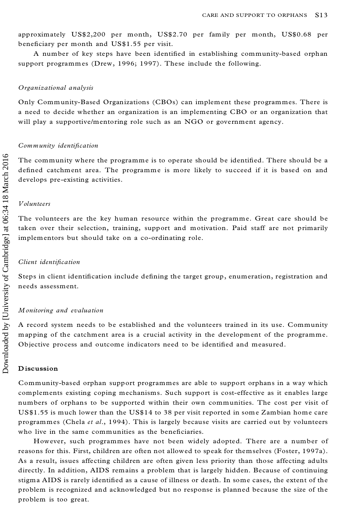approximately US\$2,200 per month, US\$2.70 per family per month, US\$0.68 per beneficiary per month and US\$1.55 per visit.

A number of key steps have been identified in establishing community-based orphan support programmes (Drew, 1996; 1997). These include the following.

#### *Organizational analysis*

Only Community-Based Organizations (CBOs) can implement these programmes. There is a need to decide whether an organization is an implementing CBO or an organization that will play a supportive/mentoring role such as an NGO or government agency.

# *Community identi®cation*

The community where the programme is to operate should be identified. There should be a defined catchment area. The programme is more likely to succeed if it is based on and develops pre-existing activities.

# *Volunteers*

The volunteers are the key human resource within the programme. Great care should be taken over their selection, training, support and motivation. Paid staff are not primarily implementors but should take on a co-ordinating role.

#### *Client identi®cation*

Steps in client identification include defining the target group, enumeration, registration and needs assessment.

#### *Monitoring and evaluation*

A record system needs to be established and the volunteers trained in its use. Community mapping of the catchment area is a crucial activity in the development of the programme. Objective process and outcome indicators need to be identified and measured.

# **Discussion**

Community-based orphan support programmes are able to support orphans in a way which complements existing coping mechanisms. Such support is cost-effective as it enables large numbers of orphans to be supported within their own communities. The cost per visit of US\$1.55 is much lower than the US\$14 to 38 per visit reported in some Zambian home care programmes (Chela *et al*., 1994). This is largely because visits are carried out by volunteers who live in the same communities as the beneficiaries.

However, such programmes have not been widely adopted. There are a number of reasons for this. First, children are often not allowed to speak for themselves (Foster, 1997a). As a result, issues affecting children are often given less priority than those affecting adults directly. In addition, AIDS remains a problem that is largely hidden. Because of continuing stigma AIDS is rarely identified as a cause of illness or death. In some cases, the extent of the problem is recognized and acknowledged but no response is planned because the size of the problem is too great.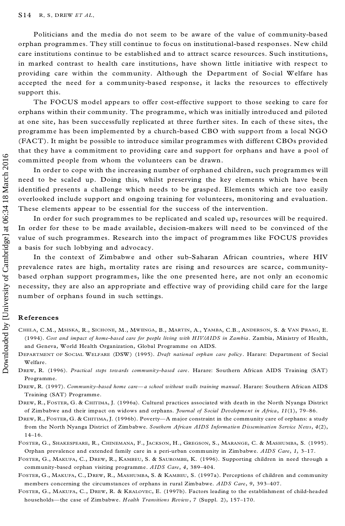Politicians and the media do not seem to be aware of the value of community-based orphan programmes. They still continue to focus on institutional-based responses. New child care institutions continue to be established and to attract scarce resources. Such institutions, in marked contrast to health care institutions, have shown little initiative with respect to providing care within the community. Although the Department of Social Welfare has accepted the need for a community-based response, it lacks the resources to effectively support this.

The FOCUS model appears to offer cost-effective support to those seeking to care for orphans within their community. The programme, which was initially introduced and piloted at one site, has been successfully replicated at three further sites. In each of these sites, the programme has been implemented by a church-based CBO with support from a local NGO (FACT). It might be possible to introduce similar programmes with different CBOs provided that they have a commitment to providing care and support for orphans and have a pool of committed people from whom the volunteers can be drawn.

In order to cope with the increasing number of orphaned children, such programmes will need to be scaled up. Doing this, whilst preserving the key elements which have been identified presents a challenge which needs to be grasped. Elements which are too easily overlooked include support and ongoing training for volunteers, monitoring and evaluation. These elements appear to be essential for the success of the intervention.

In order for such programmes to be replicated and scaled up, resources will be required. In order for these to be made available, decision-makers will need to be convinced of the value of such programmes. Research into the impact of programmes like FOCUS provides a basis for such lobbying and advocacy.

In the context of Zimbabwe and other sub-Saharan African countries, where HIV prevalence rates are high, mortality rates are rising and resources are scarce, communitybased orphan support programmes, like the one presented here, are not only an economic necessity, they are also an appropriate and effective way of providing child care for the large number of orphans found in such settings.

# **References**

- CHELA, C.M., MSISKA, R., SICHONE, M., MWIINGA, B., MARTIN, A., YAMBA, C.B., ANDERSON, S. & VAN PRAAG, E. (1994). *Cost and impact of home-based care for people living with HIV/AIDS in Zambia*. Zambia, Ministry of Health, and Geneva, World Health Organization, Global Programme on AIDS.
- DEPARTMENT OF SOCIAL WELFARE (DSW) (1995). *Draft national orphan care policy*. Harare: Department of Social Welfare.
- DREW, R. (1996). *Practical steps towards communit y-based care*. Harare: Southern African AIDS Training (SAT) Programme.
- DREW, R. (1997). Community-based home care-a school without walls training manual. Harare: Southern African AIDS Training (SAT) Programme.
- DREW, R., FOSTER, G. & CHITIMA, J. (1996a). Cultural practices associated with death in the North Nyanga District of Zimbabwe and their impact on widows and orphans. *Journal of Social Developme nt in Africa*, *11*(1), 79±86.
- DREW, R., FOSTER, G. & CHITIMA, J. (1996b). Poverty—A major constraint in the community care of orphans: a study from the North Nyanga District of Zimbabwe. *Southern African AIDS Information Dissemination Service News*, *4*(2),  $14-16.$
- FOSTER, G., SHAKESPEARE, R., CHINEMANA, F., JACKSON, H., GREGSON, S., MARANGE, C. & MASHUMBA, S. (1995). Orphan prevalence and extended family care in a peri-urban community in Zimbabwe. *AIDS Care*, *1*, 3±17.
- FOSTER, G., MAKUFA, C., DREW, R., KAMBEU, S. & SAUROMBE, K. (1996). Supporting children in need through a community-based orphan visiting programme.  $AIDS$  *Care*, 4, 389-404.
- FOSTER, G., MAKUFA, C., DREW, R., MASHUMBA, S. & KAMBEU, S. (1997a). Perceptions of children and community members concerning the circumstances of orphans in rural Zimbabwe. AIDS Care, 9, 393-407.
- FOSTER, G., MAKUFA, C., DREW, R. & KRALOVEC, E. (1997b). Factors leading to the establishment of child-headed households—the case of Zimbabwe. *Health Transitions Review*, 7 (Suppl. 2), 157-170.